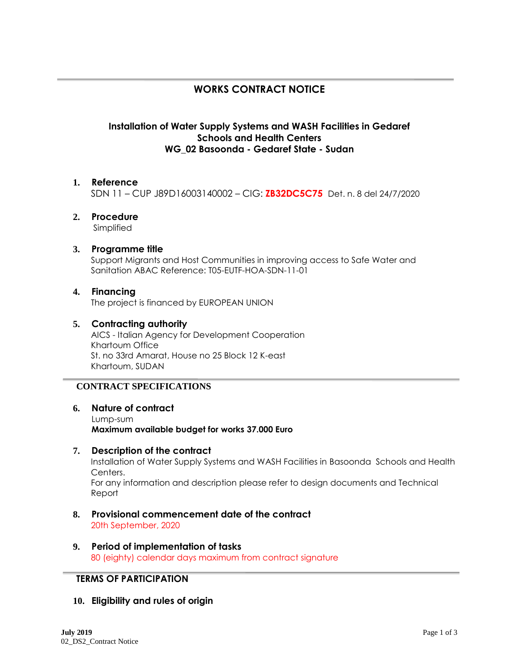# **WORKS CONTRACT NOTICE**

## **Installation of Water Supply Systems and WASH Facilities in Gedaref Schools and Health Centers WG\_02 Basoonda - Gedaref State - Sudan**

### **1. Reference**

SDN 11 – CUP J89D16003140002 – CIG: **ZB32DC5C75** Det. n. 8 del 24/7/2020

# **2. Procedure**

Simplified

**3. Programme title**

Support Migrants and Host Communities in improving access to Safe Water and Sanitation ABAC Reference: T05-EUTF-HOA-SDN-11-01

#### **4. Financing** The project is financed by EUROPEAN UNION

## **5. Contracting authority**

AICS - Italian Agency for Development Cooperation Khartoum Office St. no 33rd Amarat, House no 25 Block 12 K-east Khartoum, SUDAN

## **CONTRACT SPECIFICATIONS**

## **6. Nature of contract**

Lump-sum **Maximum available budget for works 37.000 Euro**

#### **7. Description of the contract**

Installation of Water Supply Systems and WASH Facilities in Basoonda Schools and Health Centers.

For any information and description please refer to design documents and Technical Report

- **8. Provisional commencement date of the contract** 20th September, 2020
- **9. Period of implementation of tasks** 80 (eighty) calendar days maximum from contract signature

## **TERMS OF PARTICIPATION**

## **10. Eligibility and rules of origin**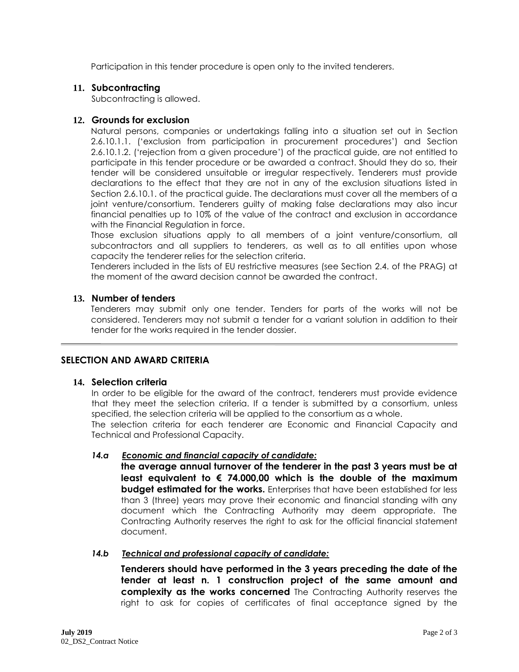Participation in this tender procedure is open only to the invited tenderers.

#### **11. Subcontracting**

Subcontracting is allowed.

### **12. Grounds for exclusion**

Natural persons, companies or undertakings falling into a situation set out in Section 2.6.10.1.1. ('exclusion from participation in procurement procedures') and Section 2.6.10.1.2. ('rejection from a given procedure') of the practical guide, are not entitled to participate in this tender procedure or be awarded a contract. Should they do so, their tender will be considered unsuitable or irregular respectively. Tenderers must provide declarations to the effect that they are not in any of the exclusion situations listed in Section 2.6.10.1. of the practical guide. The declarations must cover all the members of a joint venture/consortium. Tenderers guilty of making false declarations may also incur financial penalties up to 10% of the value of the contract and exclusion in accordance with the Financial Regulation in force.

Those exclusion situations apply to all members of a joint venture/consortium, all subcontractors and all suppliers to tenderers, as well as to all entities upon whose capacity the tenderer relies for the selection criteria.

Tenderers included in the lists of EU restrictive measures (see Section 2.4. of the PRAG) at the moment of the award decision cannot be awarded the contract.

#### **13. Number of tenders**

Tenderers may submit only one tender. Tenders for parts of the works will not be considered. Tenderers may not submit a tender for a variant solution in addition to their tender for the works required in the tender dossier.

## **SELECTION AND AWARD CRITERIA**

#### **14. Selection criteria**

In order to be eligible for the award of the contract, tenderers must provide evidence that they meet the selection criteria. If a tender is submitted by a consortium, unless specified, the selection criteria will be applied to the consortium as a whole.

The selection criteria for each tenderer are Economic and Financial Capacity and Technical and Professional Capacity.

#### *14.a Economic and financial capacity of candidate:*

**the average annual turnover of the tenderer in the past 3 years must be at least equivalent to € 74.000,00 which is the double of the maximum budget estimated for the works.** Enterprises that have been established for less than 3 (three) years may prove their economic and financial standing with any document which the Contracting Authority may deem appropriate. The Contracting Authority reserves the right to ask for the official financial statement document.

#### *14.b Technical and professional capacity of candidate:*

**Tenderers should have performed in the 3 years preceding the date of the tender at least n. 1 construction project of the same amount and complexity as the works concerned** The Contracting Authority reserves the right to ask for copies of certificates of final acceptance signed by the